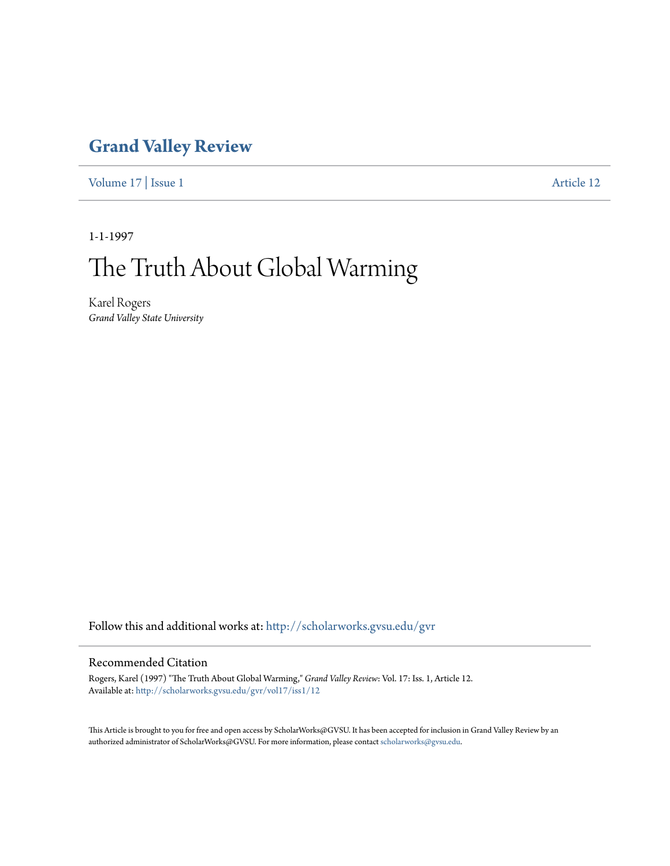## **[Grand Valley Review](http://scholarworks.gvsu.edu/gvr?utm_source=scholarworks.gvsu.edu%2Fgvr%2Fvol17%2Fiss1%2F12&utm_medium=PDF&utm_campaign=PDFCoverPages)**

[Volume 17](http://scholarworks.gvsu.edu/gvr/vol17?utm_source=scholarworks.gvsu.edu%2Fgvr%2Fvol17%2Fiss1%2F12&utm_medium=PDF&utm_campaign=PDFCoverPages) | [Issue 1](http://scholarworks.gvsu.edu/gvr/vol17/iss1?utm_source=scholarworks.gvsu.edu%2Fgvr%2Fvol17%2Fiss1%2F12&utm_medium=PDF&utm_campaign=PDFCoverPages) [Article 12](http://scholarworks.gvsu.edu/gvr/vol17/iss1/12?utm_source=scholarworks.gvsu.edu%2Fgvr%2Fvol17%2Fiss1%2F12&utm_medium=PDF&utm_campaign=PDFCoverPages)

1-1-1997

# The Truth About Global Warming

Karel Rogers *Grand Valley State University*

Follow this and additional works at: [http://scholarworks.gvsu.edu/gvr](http://scholarworks.gvsu.edu/gvr?utm_source=scholarworks.gvsu.edu%2Fgvr%2Fvol17%2Fiss1%2F12&utm_medium=PDF&utm_campaign=PDFCoverPages)

### Recommended Citation

Rogers, Karel (1997) "The Truth About Global Warming," *Grand Valley Review*: Vol. 17: Iss. 1, Article 12. Available at: [http://scholarworks.gvsu.edu/gvr/vol17/iss1/12](http://scholarworks.gvsu.edu/gvr/vol17/iss1/12?utm_source=scholarworks.gvsu.edu%2Fgvr%2Fvol17%2Fiss1%2F12&utm_medium=PDF&utm_campaign=PDFCoverPages)

This Article is brought to you for free and open access by ScholarWorks@GVSU. It has been accepted for inclusion in Grand Valley Review by an authorized administrator of ScholarWorks@GVSU. For more information, please contact [scholarworks@gvsu.edu.](mailto:scholarworks@gvsu.edu)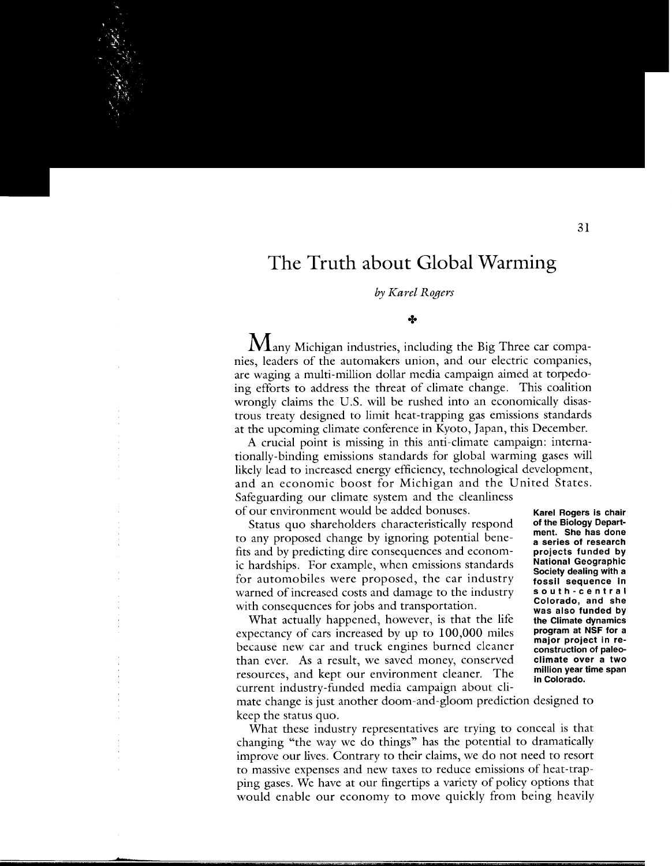### **The Truth about Global Warming**

#### by *Karel Rogers*

#### +

 $\rm\,M$ any Michigan industries, including the Big Three car companies, leaders of the automakers union, and our electric companies, are waging a multi-million dollar media campaign aimed at torpedoing efforts to address the threat of climate change. This coalition wrongly claims the U.S. will be rushed into an economically disastrous treaty designed to limit heat-trapping gas emissions standards at the upcoming climate conference in Kyoto, Japan, this December.

A crucial point is missing in this anti-climate campaign: internationally-binding emissions standards for global warming gases will likely lead to increased energy efficiency, technological development, and an economic boost for Michigan and the United States. Safeguarding our climate system and the cleanliness of our environment would be added bonuses.

Status quo shareholders characteristically respond to any proposed change by ignoring potential benefits and by predicting dire consequences and economic hardships. For example, when emissions standards for automobiles were proposed, the car industry warned of increased costs and damage to the industry with consequences for jobs and transportation.

What actually happened, however, is that the life expectancy of cars increased by up to 100,000 miles because new car and truck engines burned cleaner than ever. As a result, we saved money, conserved resources, and kept our environment cleaner. The current industry-funded media campaign about cli-

**Karel Rogers is chair of the Biology Department. She has done a series of research projects funded by National Geographic Society dealing with a fossil sequence in south-central Colorado, and she was also funded by the Climate dynamics program at NSF for a major project in reconstruction of paleoclimate over a two million year time span in Colorado.** 

mate change is just another doom-and-gloom prediction designed to keep the status quo.

What these industry representatives are trying to conceal is that changing "the way we do things" has the potential to dramatically improve our lives. Contrary to their claims, we do not need to resort to massive expenses and new taxes to reduce emissions of heat-trapping gases. We have at our fingertips a variety of policy options that would enable our economy to move quickly from being heavily